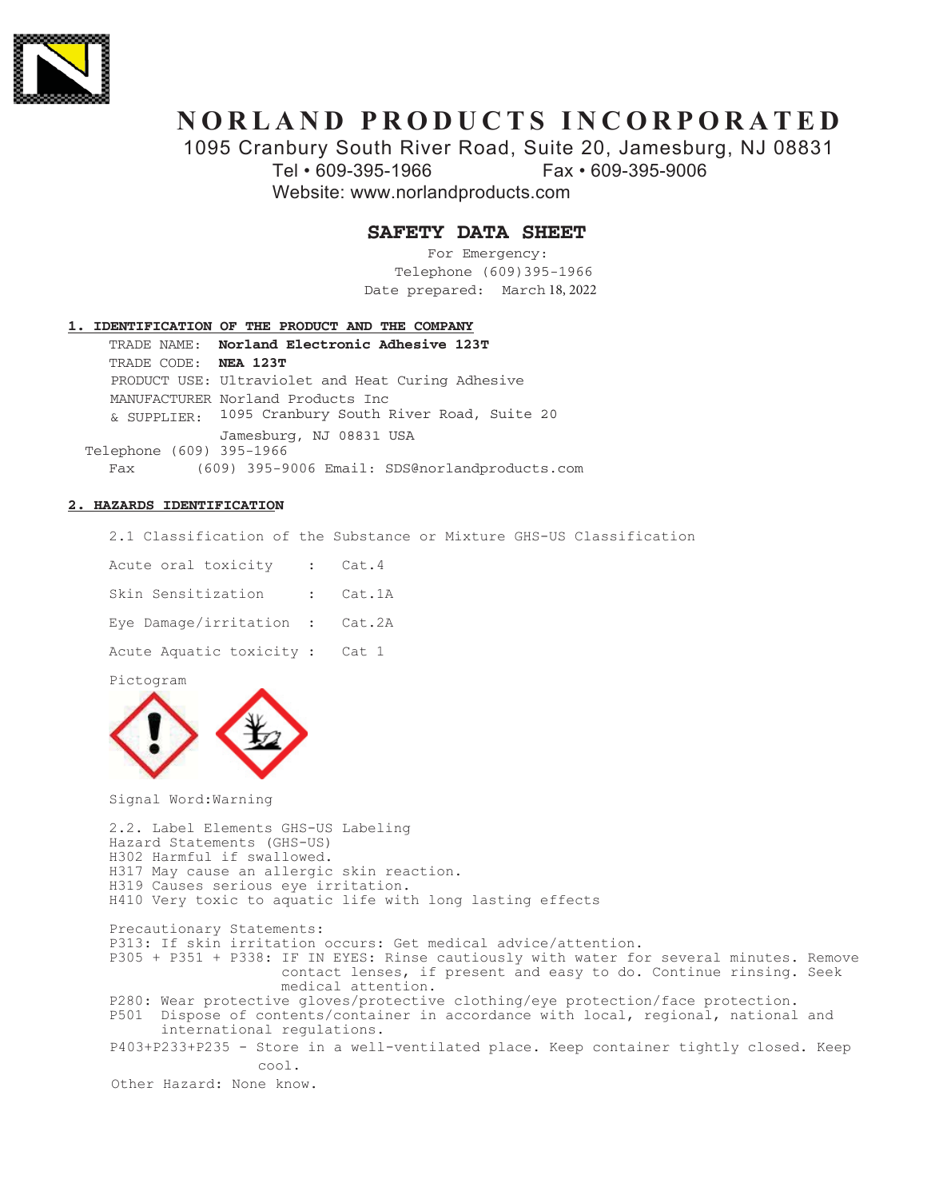

# **NORLAND PRODUCTS INCORPORATED**

1095 Cranbury South River Road, Suite 20, Jamesburg, NJ 08831

7HO)D[

Website: www.norlandproducts.com

## **SAFETY DATA SHEET**

For Emergency: Telephone (609)395-1966 Date prepared: March 18, 2022

## **1. IDENTIFICATION OF THE PRODUCT AND THE COMPANY**

 $TRADE$  NAME: **Norland Electronic Adhesive 123T** TRADE CODE: **NEA 123T** PRODUCT USE: Ultraviolet and Heat Curing Adhesive MANUFACTURER Norland Products Inc & SUPPLIER: 1095 Cranbury South River Road, Suite 20 Jamesburg, NJ 08831 USA -Telephone (609) 395-1966 Fax (609) 395-9006 Email: SDS@norlandproducts.com

## **2. HAZARDS IDENTIFICATION**

2.1 Classification of the Substance or Mixture GHS-US Classification

| Acute oral toxicity            |          |
|--------------------------------|----------|
| Skin Sensitization             | : Cat.1A |
| Eye Damage/irritation : Cat.2A |          |
| Acute Aquatic toxicity : Cat 1 |          |

Pictogram



Signal Word: Warning

2.2. Label Elements GHS-US Labeling Hazard Statements (GHS-US) H302 Harmful if swallowed. H317 May cause an allergic skin reaction. H319 Causes serious eye irritation. H410 Very toxic to aquatic life with long lasting effects Precautionary Statements: P313: If skin irritation occurs: Get medical advice/attention. P305 + P351 + P338: IF IN EYES: Rinse cautiously with water for several minutes. Remove contact lenses, if present and easy to do. Continue rinsing. Seek medical attention. P280: Wear protective gloves/protective clothing/eye protection/face protection.<br>P501 Dispose of contents/container in accordance with local, regional, national Dispose of contents/container in accordance with local, regional, national and international requlations. P403+P233+P235 - Store in a well-ventilated place. Keep container tightly closed. Keep  $COO<sup>1</sup>$ 

Other Hazard: None know.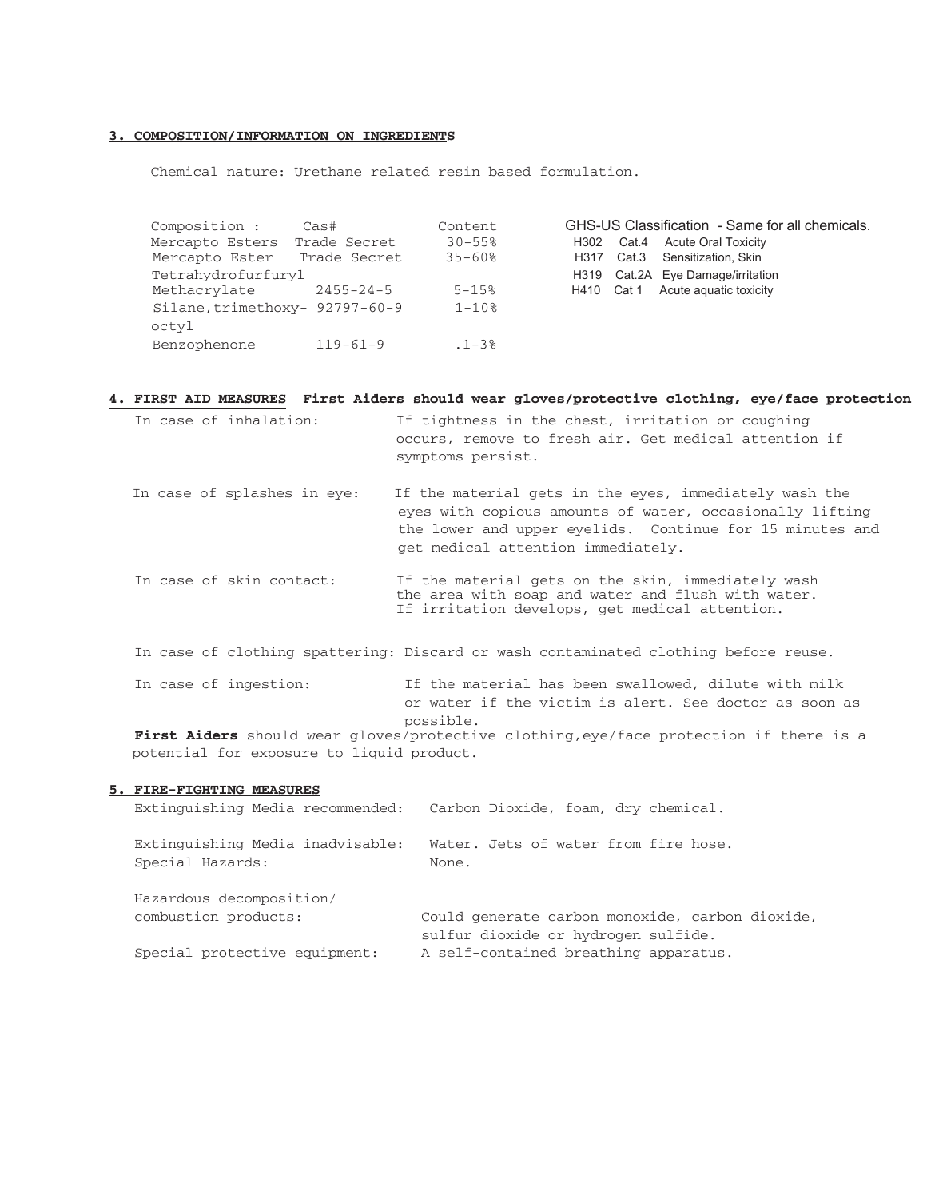## 3. COMPOSITION/INFORMATION ON INGREDIENTS

Chemical nature: Urethane related resin based formulation.

| Composition :                  | Cas#            | Content                |            |       | GHS-US Classification - Same for all chemicals. |
|--------------------------------|-----------------|------------------------|------------|-------|-------------------------------------------------|
| Mercapto Esters                | Trade Secret    | $30 - 55$              | H302       | Cat.4 | <b>Acute Oral Toxicity</b>                      |
| Mercapto Ester Trade Secret    |                 | $35 - 60$ <sup>8</sup> |            |       | H317 Cat.3 Sensitization, Skin                  |
| Tetrahydrofurfuryl             |                 |                        |            |       | H319 Cat.2A Eye Damage/irritation               |
| Methacrylate                   | $2455 - 24 - 5$ | $5 - 15%$              | H410 Cat 1 |       | Acute aguatic toxicity                          |
| Silane, trimethoxy- 92797-60-9 |                 | $1 - 10%$              |            |       |                                                 |
| octyl                          |                 |                        |            |       |                                                 |
| Benzophenone                   | $119 - 61 - 9$  | $.1 - 3%$              |            |       |                                                 |

## 4. FIRST AID MEASURES First Aiders should wear gloves/protective clothing, eye/face protection

| In case of inhalation:      | If tightness in the chest, irritation or coughing<br>occurs, remove to fresh air. Get medical attention if<br>symptoms persist.                                                                                      |
|-----------------------------|----------------------------------------------------------------------------------------------------------------------------------------------------------------------------------------------------------------------|
| In case of splashes in eye: | If the material gets in the eyes, immediately wash the<br>eyes with copious amounts of water, occasionally lifting<br>the lower and upper eyelids. Continue for 15 minutes and<br>get medical attention immediately. |
| In case of skin contact:    | If the material gets on the skin, immediately wash<br>the area with soap and water and flush with water.<br>If irritation develops, get medical attention.                                                           |
|                             | In case of clothing spattering: Discard or wash contaminated clothing before reuse.                                                                                                                                  |
| In case of ingestion:       | If the material has been swallowed, dilute with milk<br>or water if the victim is alert. See doctor as soon as                                                                                                       |

possible.<br>**First Aiders** should wear gloves/protective clothing, eye/face protection if there is a potential for exposure to liquid product.

## 5. FIRE-FIGHTING MEASURES

| Extinguishing Media recommended:                     | Carbon Dioxide, foam, dry chemical.                                                   |
|------------------------------------------------------|---------------------------------------------------------------------------------------|
| Extinguishing Media inadvisable:<br>Special Hazards: | Water. Jets of water from fire hose.<br>None.                                         |
| Hazardous decomposition/                             |                                                                                       |
| combustion products:                                 | Could generate carbon monoxide, carbon dioxide<br>sulfur dioxide or hydrogen sulfide. |
| Special protective equipment:                        | A self-contained breathing apparatus.                                                 |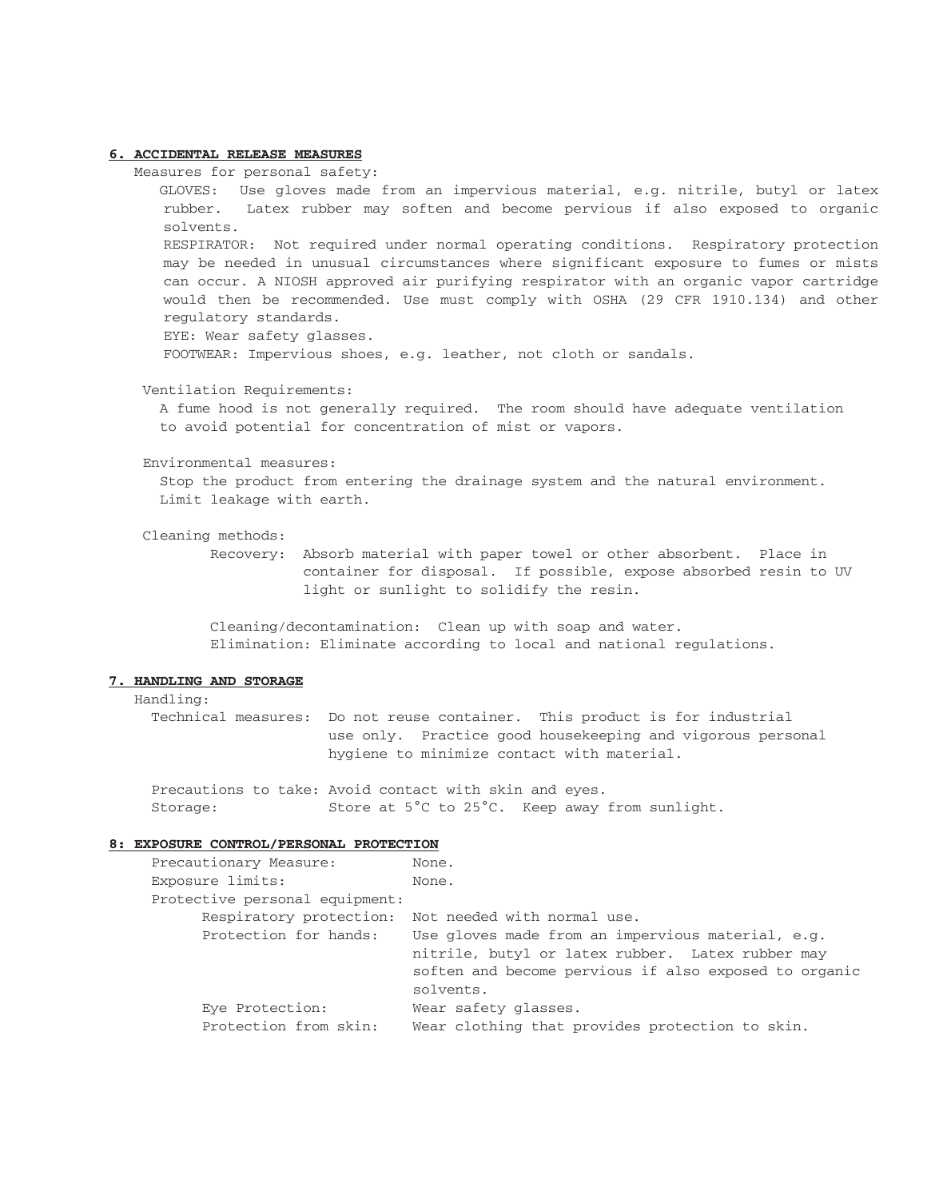#### **6. ACCIDENTAL RELEASE MEASURES**

Measures for personal safety:

 GLOVES: Use gloves made from an impervious material, e.g. nitrile, butyl or latex rubber. Latex rubber may soften and become pervious if also exposed to organic solvents. RESPIRATOR: Not required under normal operating conditions. Respiratory protection may be needed in unusual circumstances where significant exposure to fumes or mists can occur. A NIOSH approved air purifying respirator with an organic vapor cartridge would then be recommended. Use must comply with OSHA (29 CFR 1910.134) and other regulatory standards.

EYE: Wear safety glasses.

FOOTWEAR: Impervious shoes, e.g. leather, not cloth or sandals.

#### Ventilation Requirements:

 A fume hood is not generally required. The room should have adequate ventilation to avoid potential for concentration of mist or vapors.

#### Environmental measures:

 Stop the product from entering the drainage system and the natural environment. Limit leakage with earth.

Cleaning methods:

 Recovery: Absorb material with paper towel or other absorbent. Place in container for disposal. If possible, expose absorbed resin to UV light or sunlight to solidify the resin.

 Cleaning/decontamination: Clean up with soap and water. Elimination: Eliminate according to local and national regulations.

## **7. HANDLING AND STORAGE**

Handling:

 Technical measures: Do not reuse container. This product is for industrial use only. Practice good housekeeping and vigorous personal hygiene to minimize contact with material.

Precautions to take: Avoid contact with skin and eyes. Storage: Store at 5°C to 25°C. Keep away from sunlight.

#### **8: EXPOSURE CONTROL/PERSONAL PROTECTION**

| Precautionary Measure:         | None.                                                 |
|--------------------------------|-------------------------------------------------------|
| Exposure limits:               | None.                                                 |
| Protective personal equipment: |                                                       |
|                                | Respiratory protection: Not needed with normal use.   |
| Protection for hands:          | Use gloves made from an impervious material, e.g.     |
|                                | nitrile, butyl or latex rubber. Latex rubber may      |
|                                | soften and become pervious if also exposed to organic |
|                                | solvents.                                             |
| Eye Protection:                | Wear safety glasses.                                  |
| Protection from skin:          | Wear clothing that provides protection to skin.       |
|                                |                                                       |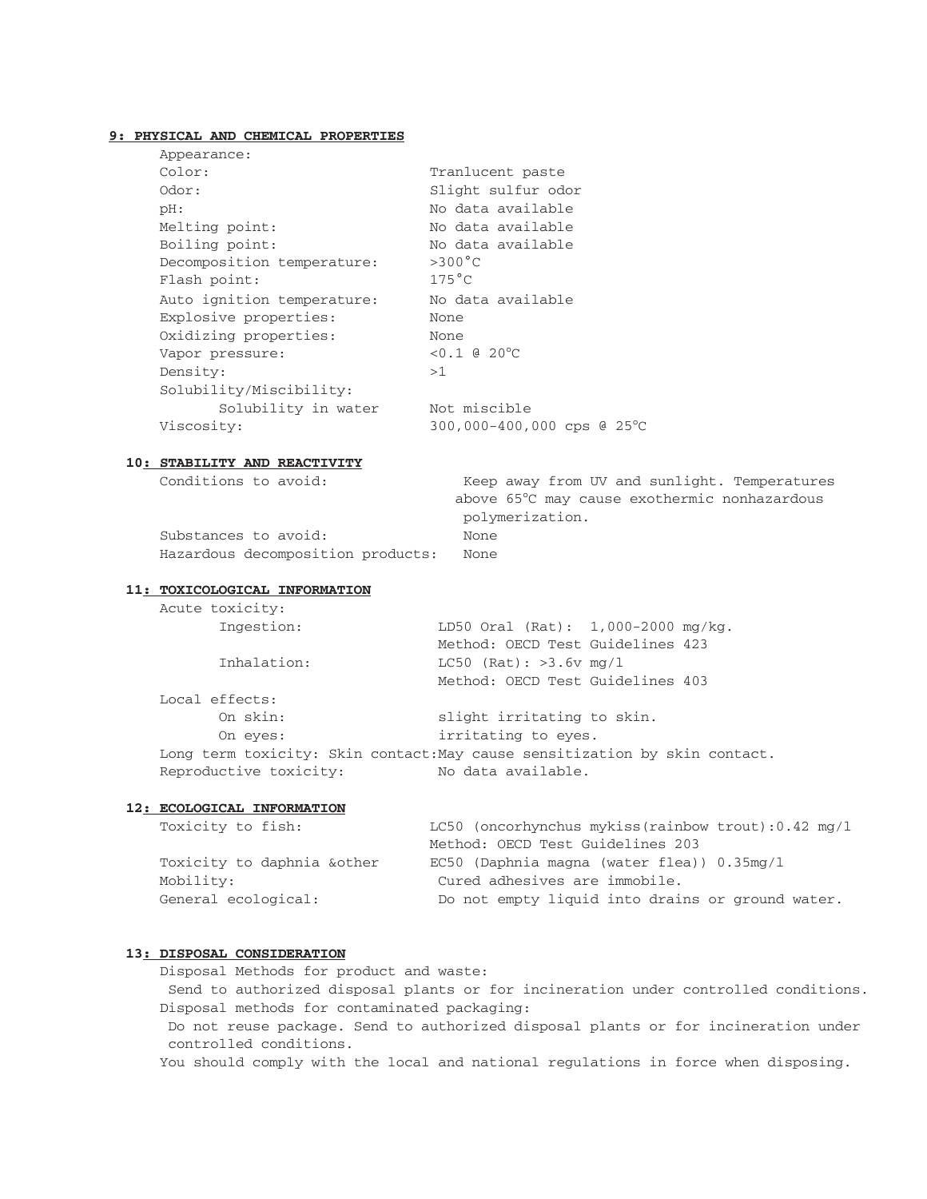## **9: PHYSICAL AND CHEMICAL PROPERTIES**

| Appearance:                |                            |
|----------------------------|----------------------------|
| Color:                     | Tranlucent paste           |
| Odor:                      | Slight sulfur odor         |
| pH:                        | No data available          |
| Melting point:             | No data available          |
| Boiling point:             | No data available          |
| Decomposition temperature: | $>300^{\circ}$ C           |
| Flash point:               | $175^{\circ}$ C            |
| Auto ignition temperature: | No data available          |
| Explosive properties:      | None                       |
| Oxidizing properties:      | None                       |
| Vapor pressure:            | $< 0.1$ a 20 °C            |
| Density:                   | >1                         |
| Solubility/Miscibility:    |                            |
| Solubility in water        | Not miscible               |
| Viscosity:                 | 300,000-400,000 cps @ 25°C |
|                            |                            |

#### **10: STABILITY AND REACTIVITY**

Conditions to avoid: Keep away from UV and sunlight. Temperatures above 65°C may cause exothermic nonhazardous polymerization.

Substances to avoid: None Hazardous decomposition products: None

## **11: TOXICOLOGICAL INFORMATION**

| Acute toxicity:        |                                                                            |
|------------------------|----------------------------------------------------------------------------|
| Ingestion:             | LD50 Oral (Rat): 1,000-2000 mg/kg.                                         |
|                        | Method: OECD Test Guidelines 423                                           |
| Inhalation:            | $L C50$ (Rat): >3.6v mg/1                                                  |
|                        | Method: OECD Test Guidelines 403                                           |
| Local effects:         |                                                                            |
| On skin:               | slight irritating to skin.                                                 |
| On eyes:               | irritating to eves.                                                        |
|                        | Long term toxicity: Skin contact: May cause sensitization by skin contact. |
| Reproductive toxicity: | No data available.                                                         |

## **12: ECOLOGICAL INFORMATION**

| Toxicity to fish:          | LC50 (oncorhynchus mykiss(rainbow trout): $0.42$ mg/l |
|----------------------------|-------------------------------------------------------|
|                            | Method: OECD Test Guidelines 203                      |
| Toxicity to daphnia &other | $EC50$ (Daphnia magna (water flea)) $0.35mg/L$        |
| Mobility:                  | Cured adhesives are immobile.                         |
| General ecological:        | Do not empty liquid into drains or ground water.      |

## **13: DISPOSAL CONSIDERATION**

 Disposal Methods for product and waste: Send to authorized disposal plants or for incineration under controlled conditions. Disposal methods for contaminated packaging: Do not reuse package. Send to authorized disposal plants or for incineration under controlled conditions.

You should comply with the local and national regulations in force when disposing.